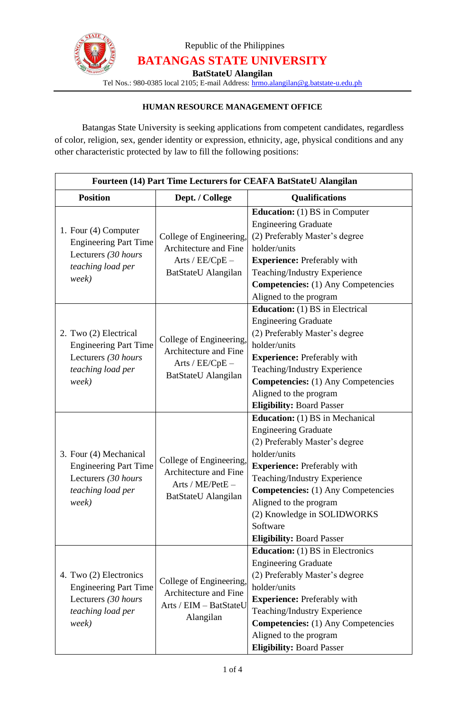

Republic of the Philippines **BATANGAS STATE UNIVERSITY**

**BatStateU Alangilan**

Tel Nos.: 980-0385 local 2105; E-mail Address: [hrmo.alangilan@g.batstate-u.edu.ph](mailto:hrmo.alangilan@g.batstate-u.edu.ph)

### **HUMAN RESOURCE MANAGEMENT OFFICE**

Batangas State University is seeking applications from competent candidates, regardless of color, religion, sex, gender identity or expression, ethnicity, age, physical conditions and any other characteristic protected by law to fill the following positions:

| Fourteen (14) Part Time Lecturers for CEAFA BatStateU Alangilan                                                                                                                           |                                                                                                                                                  |                                                                                                                                                                                                                                                                                                                                                                                                                                     |  |
|-------------------------------------------------------------------------------------------------------------------------------------------------------------------------------------------|--------------------------------------------------------------------------------------------------------------------------------------------------|-------------------------------------------------------------------------------------------------------------------------------------------------------------------------------------------------------------------------------------------------------------------------------------------------------------------------------------------------------------------------------------------------------------------------------------|--|
| <b>Position</b>                                                                                                                                                                           | Dept. / College                                                                                                                                  | <b>Qualifications</b>                                                                                                                                                                                                                                                                                                                                                                                                               |  |
| 1. Four (4) Computer<br><b>Engineering Part Time</b><br>Lecturers (30 hours<br>teaching load per<br>week)<br>2. Two (2) Electrical<br><b>Engineering Part Time</b><br>Lecturers (30 hours | College of Engineering,<br>Architecture and Fine<br>Arts / $EE/CpE -$<br>BatStateU Alangilan<br>College of Engineering,<br>Architecture and Fine | <b>Education:</b> (1) BS in Computer<br><b>Engineering Graduate</b><br>(2) Preferably Master's degree<br>holder/units<br><b>Experience:</b> Preferably with<br>Teaching/Industry Experience<br><b>Competencies:</b> (1) Any Competencies<br>Aligned to the program<br><b>Education:</b> (1) BS in Electrical<br><b>Engineering Graduate</b><br>(2) Preferably Master's degree<br>holder/units<br><b>Experience: Preferably with</b> |  |
| teaching load per<br>week)                                                                                                                                                                | Arts / EE/CpE -<br>BatStateU Alangilan                                                                                                           | Teaching/Industry Experience<br><b>Competencies:</b> (1) Any Competencies<br>Aligned to the program<br><b>Eligibility: Board Passer</b>                                                                                                                                                                                                                                                                                             |  |
| 3. Four (4) Mechanical<br><b>Engineering Part Time</b><br>Lecturers (30 hours<br>teaching load per<br>week)                                                                               | College of Engineering,<br>Architecture and Fine<br>Arts / ME/PetE -<br>BatStateU Alangilan                                                      | <b>Education:</b> (1) BS in Mechanical<br><b>Engineering Graduate</b><br>(2) Preferably Master's degree<br>holder/units<br><b>Experience:</b> Preferably with<br>Teaching/Industry Experience<br><b>Competencies:</b> (1) Any Competencies<br>Aligned to the program<br>(2) Knowledge in SOLIDWORKS<br>Software<br><b>Eligibility: Board Passer</b>                                                                                 |  |
| 4. Two (2) Electronics<br><b>Engineering Part Time</b><br>Lecturers (30 hours<br>teaching load per<br>week)                                                                               | College of Engineering,<br>Architecture and Fine<br>Arts / EIM - BatStateU<br>Alangilan                                                          | <b>Education:</b> (1) BS in Electronics<br><b>Engineering Graduate</b><br>(2) Preferably Master's degree<br>holder/units<br><b>Experience: Preferably with</b><br>Teaching/Industry Experience<br><b>Competencies:</b> (1) Any Competencies<br>Aligned to the program<br><b>Eligibility: Board Passer</b>                                                                                                                           |  |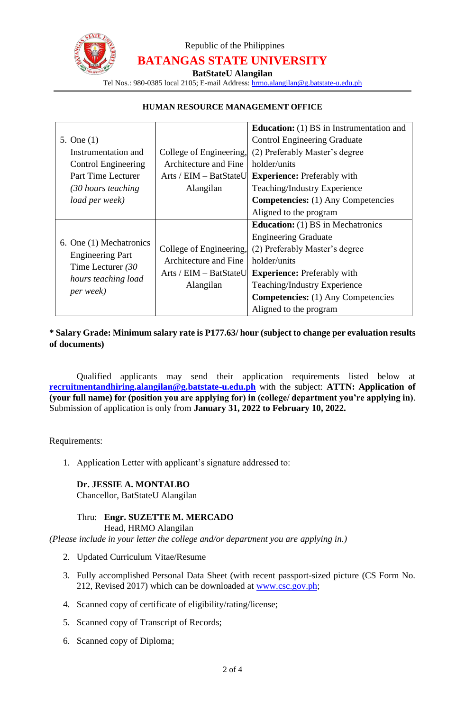

# Republic of the Philippines **BATANGAS STATE UNIVERSITY**

**BatStateU Alangilan**

Tel Nos.: 980-0385 local 2105; E-mail Address: [hrmo.alangilan@g.batstate-u.edu.ph](mailto:hrmo.alangilan@g.batstate-u.edu.ph)

#### **HUMAN RESOURCE MANAGEMENT OFFICE**

|                            |                          | <b>Education:</b> (1) BS in Instrumentation and |
|----------------------------|--------------------------|-------------------------------------------------|
| 5. One $(1)$               |                          | <b>Control Engineering Graduate</b>             |
| Instrumentation and        | College of Engineering,  | (2) Preferably Master's degree                  |
| <b>Control Engineering</b> | Architecture and Fine    | holder/units                                    |
| Part Time Lecturer         | $Arts / EIM - BatStateU$ | <b>Experience:</b> Preferably with              |
| (30 hours teaching         | Alangilan                | Teaching/Industry Experience                    |
| load per week)             |                          | <b>Competencies:</b> (1) Any Competencies       |
|                            |                          | Aligned to the program                          |
|                            |                          | <b>Education:</b> (1) BS in Mechatronics        |
|                            |                          |                                                 |
|                            |                          | <b>Engineering Graduate</b>                     |
| 6. One (1) Mechatronics    | College of Engineering,  | (2) Preferably Master's degree                  |
| <b>Engineering Part</b>    | Architecture and Fine    | holder/units                                    |
| Time Lecturer $(30$        | Arts / EIM - BatStateU   | <b>Experience:</b> Preferably with              |
| hours teaching load        | Alangilan                | Teaching/Industry Experience                    |
| per week)                  |                          | <b>Competencies:</b> (1) Any Competencies       |

#### **\* Salary Grade: Minimum salary rate is P177.63/ hour (subject to change per evaluation results of documents)**

Qualified applicants may send their application requirements listed below at **recruitmentandhiring.alangilan@g.batstate-u.edu.ph** with the subject: **ATTN: Application of (your full name) for (position you are applying for) in (college/ department you're applying in)**. Submission of application is only from **January 31, 2022 to February 10, 2022.**

Requirements:

1. Application Letter with applicant's signature addressed to:

#### **Dr. JESSIE A. MONTALBO**

Chancellor, BatStateU Alangilan

#### Thru: **Engr. SUZETTE M. MERCADO**

Head, HRMO Alangilan

*(Please include in your letter the college and/or department you are applying in.)*

- 2. Updated Curriculum Vitae/Resume
- 3. Fully accomplished Personal Data Sheet (with recent passport-sized picture (CS Form No. 212, Revised 2017) which can be downloaded at [www.csc.gov.ph;](http://www.csc.gov.ph/)
- 4. Scanned copy of certificate of eligibility/rating/license;
- 5. Scanned copy of Transcript of Records;
- 6. Scanned copy of Diploma;